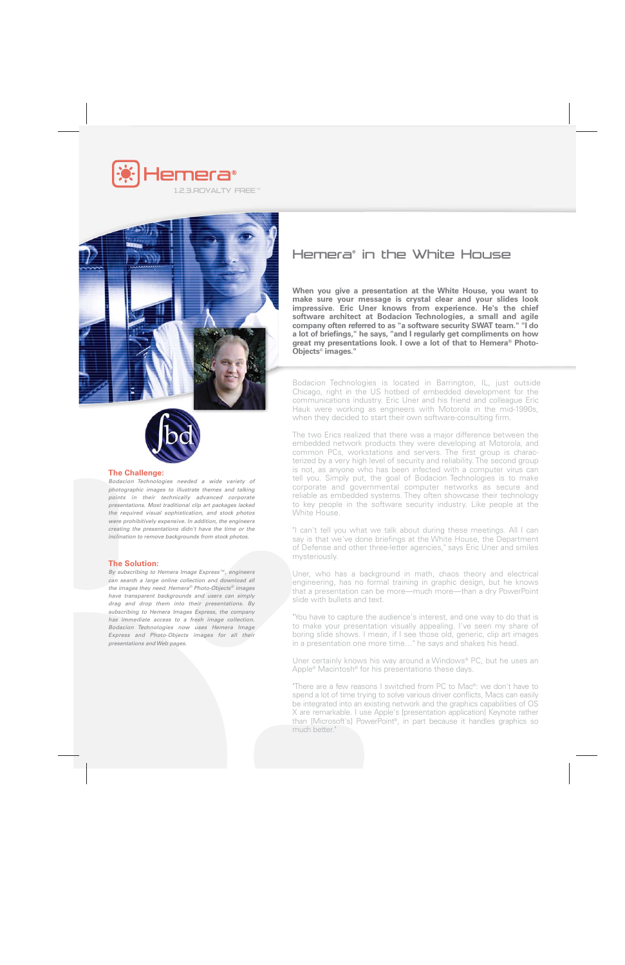



#### **The Challenge:**

*Bodacion Technologies needed a wide variety of photographic images to illustrate themes and talking points in their technically advanced corporate presentations. Most traditional clip art packages lacked the required visual sophistication, and stock photos were prohibitively expensive. In addition, the engineers creating the presentations didn't have the time or the inclination to remove backgrounds from stock photos.*

### **The Solution:**

*By subscribing to Hemera Image Express™, engineers can search a large online collection and download all the images they need. Hemera® Photo-Objects® images have transparent backgrounds and users can simply drag and drop them into their presentations. By subscribing to Hemera Images Express, the company has immediate access to a fresh image collection. Bodacion Technologies now uses Hemera Image Express and Photo-Objects images for all their presentations and Web pages.*

# Hemera® in the White House

**When you give a presentation at the White House, you want to make sure your message is crystal clear and your slides look impressive. Eric Uner knows from experience. He's the chief software architect at Bodacion Technologies, a small and agile company often referred to as "a software security SWAT team." "I do a lot of briefings," he says, "and I regularly get compliments on how great my presentations look. I owe a lot of that to Hemera® Photo-Objects® images."**

Bodacion Technologies is located in Barrington, IL, just outside Chicago, right in the US hotbed of embedded development for the communications industry. Eric Uner and his friend and colleague Eric Hauk were working as engineers with Motorola in the mid-1990s, when they decided to start their own software-consulting firm.

The two Erics realized that there was a major difference between the embedded network products they were developing at Motorola, and common PCs, workstations and servers. The first group is characterized by a very high level of security and reliability. The second group is not, as anyone who has been infected with a computer virus can tell you. Simply put, the goal of Bodacion Technologies is to make corporate and governmental computer networks as secure and reliable as embedded systems. They often showcase their technology to key people in the software security industry. Like people at the White House.

"I can't tell you what we talk about during these meetings. All I can say is that we've done briefings at the White House, the Department of Defense and other three-letter agencies," says Eric Uner and smiles mysteriously.

Uner, who has a background in math, chaos theory and electrical engineering, has no formal training in graphic design, but he knows that a presentation can be more—much more—than a dry PowerPoint slide with bullets and text.

"You have to capture the audience's interest, and one way to do that is to make your presentation visually appealing. I've seen my share of boring slide shows. I mean, if I see those old, generic, clip art images in a presentation one more time…" he says and shakes his head.

Uner certainly knows his way around a Windows® PC, but he uses an Apple® Macintosh® for his presentations these days.

"There are a few reasons I switched from PC to Mac®: we don't have to spend a lot of time trying to solve various driver conflicts, Macs can easily be integrated into an existing network and the graphics capabilities of OS X are remarkable. I use Apple's [presentation application] Keynote rather than [Microsoft's] PowerPoint®, in part because it handles graphics so much better."